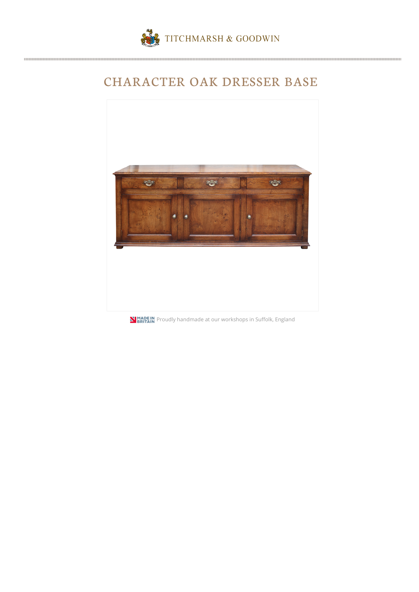

## CHARACTER OAK DRESSER BASE



**N BRITAIN** Proudly handmade at our workshops in Suffolk, England